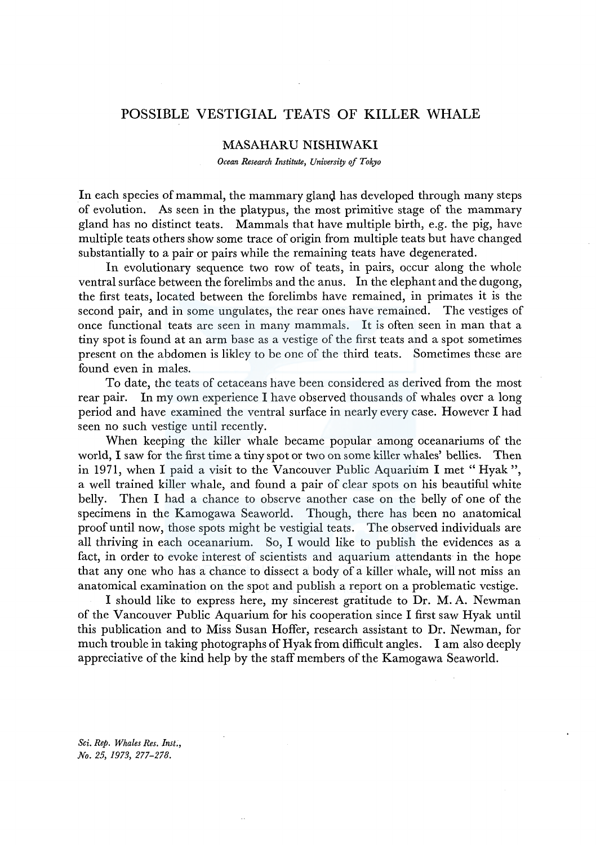## POSSIBLE VESTIGIAL TEATS OF KILLER WHALE

## MASAHARU NISHIWAKI

*Ocean Research Institute, University of Tokyo* 

In each species of mammal, the mammary gland has developed through many steps of evolution. As seen in the platypus, the most primitive stage of the mammary gland has no distinct teats. Mammals that have multiple birth, e.g. the pig, have multiple teats others show some trace of origin from multiple teats but have changed substantially to a pair or pairs while the remaining teats have degenerated.

In evolutionary sequence two row of teats, in pairs, occur along the whole ventral surface between the forelimbs and the anus. In the elephant and the dugong, the first teats, located between the forelimbs have remained, in primates it is the second pair, and in some ungulates, the rear ones have remained. The vestiges of once functional teats are seen in many mammals. It is often seen in man that a tiny spot is found at an arm base as a vestige of the first teats and a spot sometimes present on the abdomen is likley to be one of the third teats. Sometimes these are found even in males.

To date, the teats of cetaceans have been considered as derived from the most rear pair. In my own experience I have observed thousands of whales over a long period and have examined the ventral surface in nearly every case. However I had seen no such vestige until recently.

When keeping the killer whale became popular among oceanariums of the world, I saw for the first time a tiny spot or two on some killer whales' bellies. Then in 1971, when I paid a visit to the Vancouver Public Aquarium I met" Hyak ", a well trained killer whale, and found a pair of clear spots on his beautiful white belly. Then I had a chance to observe another case on the belly of one of the specimens in the Kamogawa Seaworld. Though, there has been no anatomical proof until now, those spots might be vestigial teats. The observed individuals are all thriving in each oceanarium. So, I would like to publish the evidences as a fact, in order to evoke interest of scientists and aquarium attendants in the hope that any one who has a chance to dissect a body of a killer whale, will not miss an anatomical examination on the spot and publish a report on a problematic vestige.

I should like to express here, my sincerest gratitude to Dr. M.A. Newman of the Vancouver Public Aquarium for his cooperation since I first saw Hyak until this publication and to Miss Susan Hoffer, research assistant to Dr. Newman, for much trouble in taking photographs of Hyak from difficult angles. I am also deeply appreciative of the kind help by the staff members of the Kamogawa Seaworld.

*Sci. Rep. Whales Res. Inst., No. 25, 1973, 277-278.*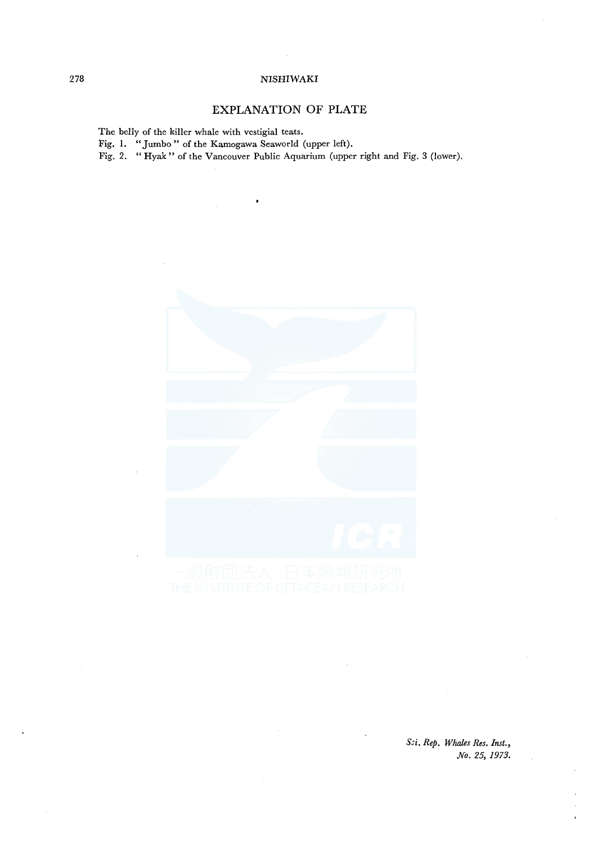## 278 NISHIWAKI

## **EXPLANATION OF PLATE**

The belly of the killer whale with vestigial teats.

Fig. 1. "Jumbo" of the Kamogawa Seaworld (upper left).

Fig. 2. "Hyak" of the Vancouver Public Aquarium (upper right and Fig. 3 (lower).



&i. *Rep. Whales Res. Inst., No. 25, 1973.*